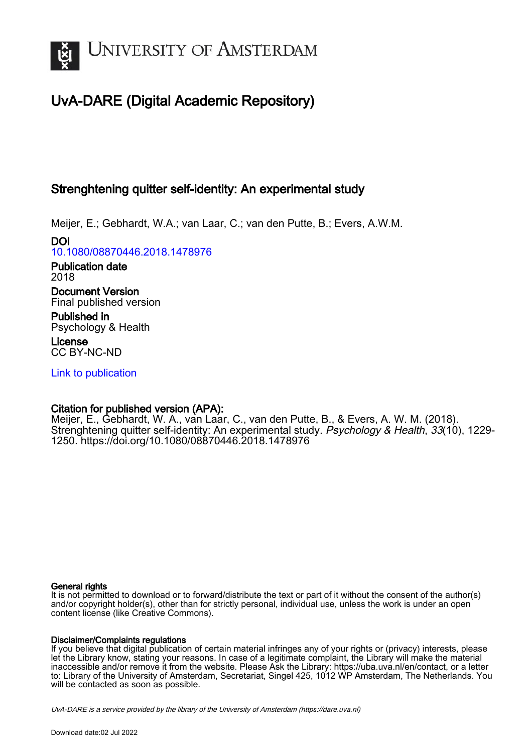

# UvA-DARE (Digital Academic Repository)

# Strenghtening quitter self-identity: An experimental study

Meijer, E.; Gebhardt, W.A.; van Laar, C.; van den Putte, B.; Evers, A.W.M.

DOI [10.1080/08870446.2018.1478976](https://doi.org/10.1080/08870446.2018.1478976)

Publication date 2018

Document Version Final published version

Published in Psychology & Health

License CC BY-NC-ND

[Link to publication](https://dare.uva.nl/personal/pure/en/publications/strenghtening-quitter-selfidentity-an-experimental-study(0b2f6738-ecee-408f-ac80-740ce7b93ff3).html)

# Citation for published version (APA):

Meijer, E., Gebhardt, W. A., van Laar, C., van den Putte, B., & Evers, A. W. M. (2018). Strenghtening quitter self-identity: An experimental study. Psychology & Health, 33(10), 1229-1250.<https://doi.org/10.1080/08870446.2018.1478976>

# General rights

It is not permitted to download or to forward/distribute the text or part of it without the consent of the author(s) and/or copyright holder(s), other than for strictly personal, individual use, unless the work is under an open content license (like Creative Commons).

# Disclaimer/Complaints regulations

If you believe that digital publication of certain material infringes any of your rights or (privacy) interests, please let the Library know, stating your reasons. In case of a legitimate complaint, the Library will make the material inaccessible and/or remove it from the website. Please Ask the Library: https://uba.uva.nl/en/contact, or a letter to: Library of the University of Amsterdam, Secretariat, Singel 425, 1012 WP Amsterdam, The Netherlands. You will be contacted as soon as possible.

UvA-DARE is a service provided by the library of the University of Amsterdam (http*s*://dare.uva.nl)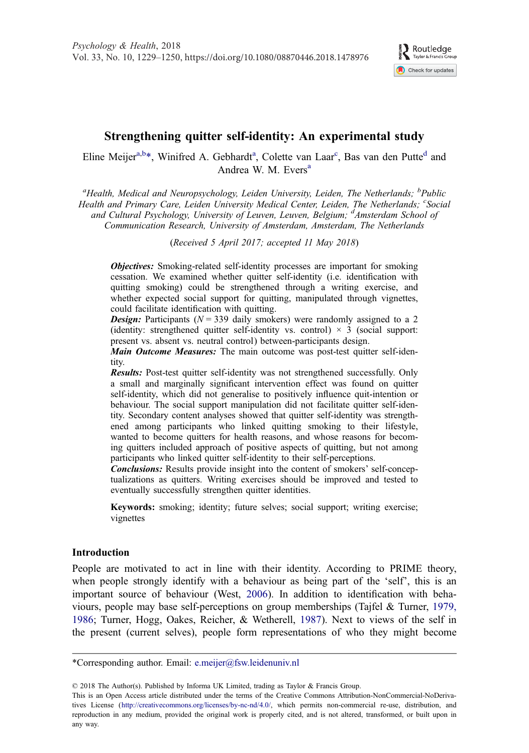

# <span id="page-1-0"></span>Strengthening quitter self-identity: An experimental study

Eline Meijer<sup>a,b\*</sup>, Winifred A. Gebhardt<sup>a</sup>, Colette van Laar<sup>c</sup>, Bas van den Putte<sup>d</sup> and Andrea W. M. Evers<sup>a</sup>

<sup>a</sup>Health, Medical and Neuropsychology, Leiden University, Leiden, The Netherlands; <sup>b</sup>Public Health and Primary Care, Leiden University Medical Center, Leiden, The Netherlands; CSocial and Cultural Psychology, University of Leuven, Leuven, Belgium; <sup>d</sup>Amsterdam School of Communication Research, University of Amsterdam, Amsterdam, The Netherlands

(Received 5 April 2017; accepted 11 May 2018)

**Objectives:** Smoking-related self-identity processes are important for smoking cessation. We examined whether quitter self-identity (i.e. identification with quitting smoking) could be strengthened through a writing exercise, and whether expected social support for quitting, manipulated through vignettes, could facilitate identification with quitting.

**Design:** Participants ( $N = 339$  daily smokers) were randomly assigned to a 2 (identity: strengthened quitter self-identity vs. control)  $\times$  3 (social support: present vs. absent vs. neutral control) between-participants design.

Main Outcome Measures: The main outcome was post-test quitter self-identity.

Results: Post-test quitter self-identity was not strengthened successfully. Only a small and marginally significant intervention effect was found on quitter self-identity, which did not generalise to positively influence quit-intention or behaviour. The social support manipulation did not facilitate quitter self-identity. Secondary content analyses showed that quitter self-identity was strengthened among participants who linked quitting smoking to their lifestyle, wanted to become quitters for health reasons, and whose reasons for becoming quitters included approach of positive aspects of quitting, but not among participants who linked quitter self-identity to their self-perceptions.

Conclusions: Results provide insight into the content of smokers' self-conceptualizations as quitters. Writing exercises should be improved and tested to eventually successfully strengthen quitter identities.

Keywords: smoking; identity; future selves; social support; writing exercise; vignettes

## Introduction

People are motivated to act in line with their identity. According to PRIME theory, when people strongly identify with a behaviour as being part of the 'self', this is an important source of behaviour (West, [2006\)](#page-22-0). In addition to identification with behaviours, people may base self-perceptions on group memberships (Tajfel & Turner, [1979,](#page-21-0) [1986](#page-21-0); Turner, Hogg, Oakes, Reicher, & Wetherell, [1987\)](#page-22-0). Next to views of the self in the present (current selves), people form representations of who they might become

\*Corresponding author. Email: [e.meijer@fsw.leidenuniv.nl](mailto:e.meijer@fsw.leidenuniv.nl)

© 2018 The Author(s). Published by Informa UK Limited, trading as Taylor & Francis Group.

This is an Open Access article distributed under the terms of the Creative Commons Attribution-NonCommercial-NoDerivatives License ([http://creativecommons.org/licenses/by-nc-nd/4.0/,](http://creativecommons.org/licenses/by-nc-nd/4.0/) which permits non-commercial re-use, distribution, and reproduction in any medium, provided the original work is properly cited, and is not altered, transformed, or built upon in any way.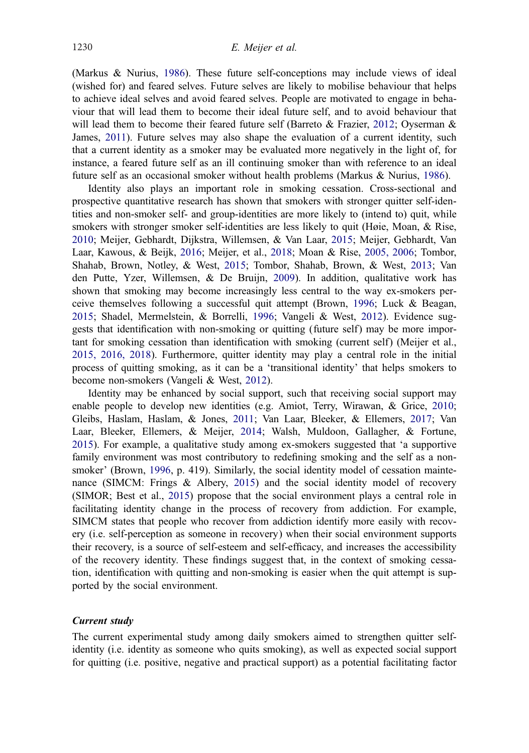<span id="page-2-0"></span>(Markus & Nurius, [1986\)](#page-20-0). These future self-conceptions may include views of ideal (wished for) and feared selves. Future selves are likely to mobilise behaviour that helps to achieve ideal selves and avoid feared selves. People are motivated to engage in behaviour that will lead them to become their ideal future self, and to avoid behaviour that will lead them to become their feared future self (Barreto & Frazier, [2012](#page-19-0); Oyserman & James, [2011\)](#page-21-0). Future selves may also shape the evaluation of a current identity, such that a current identity as a smoker may be evaluated more negatively in the light of, for instance, a feared future self as an ill continuing smoker than with reference to an ideal future self as an occasional smoker without health problems (Markus & Nurius, [1986\)](#page-20-0).

Identity also plays an important role in smoking cessation. Cross-sectional and prospective quantitative research has shown that smokers with stronger quitter self-identities and non-smoker self- and group-identities are more likely to (intend to) quit, while smokers with stronger smoker self-identities are less likely to quit (Høie, Moan, & Rise, [2010](#page-20-0); Meijer, Gebhardt, Dijkstra, Willemsen, & Van Laar, [2015](#page-20-0); Meijer, Gebhardt, Van Laar, Kawous, & Beijk, [2016](#page-20-0); Meijer, et al., [2018;](#page-20-0) Moan & Rise, [2005, 2006](#page-20-0); Tombor, Shahab, Brown, Notley, & West, [2015](#page-22-0); Tombor, Shahab, Brown, & West, [2013](#page-22-0); Van den Putte, Yzer, Willemsen, & De Bruijn, [2009](#page-22-0)). In addition, qualitative work has shown that smoking may become increasingly less central to the way ex-smokers perceive themselves following a successful quit attempt (Brown, [1996](#page-19-0); Luck & Beagan, [2015](#page-20-0); Shadel, Mermelstein, & Borrelli, [1996;](#page-21-0) Vangeli & West, [2012](#page-22-0)). Evidence suggests that identification with non-smoking or quitting (future self) may be more important for smoking cessation than identification with smoking (current self) (Meijer et al., [2015, 2016, 2018\)](#page-20-0). Furthermore, quitter identity may play a central role in the initial process of quitting smoking, as it can be a 'transitional identity' that helps smokers to become non-smokers (Vangeli & West, [2012\)](#page-22-0).

Identity may be enhanced by social support, such that receiving social support may enable people to develop new identities (e.g. Amiot, Terry, Wirawan, & Grice, [2010](#page-19-0); Gleibs, Haslam, Haslam, & Jones, [2011](#page-19-0); Van Laar, Bleeker, & Ellemers, [2017;](#page-22-0) Van Laar, Bleeker, Ellemers, & Meijer, [2014](#page-22-0); Walsh, Muldoon, Gallagher, & Fortune, [2015](#page-22-0)). For example, a qualitative study among ex-smokers suggested that 'a supportive family environment was most contributory to redefining smoking and the self as a nonsmoker' (Brown, [1996](#page-19-0), p. 419). Similarly, the social identity model of cessation maintenance (SIMCM: Frings & Albery, [2015](#page-19-0)) and the social identity model of recovery (SIMOR; Best et al., [2015](#page-19-0)) propose that the social environment plays a central role in facilitating identity change in the process of recovery from addiction. For example, SIMCM states that people who recover from addiction identify more easily with recovery (i.e. self-perception as someone in recovery) when their social environment supports their recovery, is a source of self-esteem and self-efficacy, and increases the accessibility of the recovery identity. These findings suggest that, in the context of smoking cessation, identification with quitting and non-smoking is easier when the quit attempt is supported by the social environment.

#### Current study

The current experimental study among daily smokers aimed to strengthen quitter selfidentity (i.e. identity as someone who quits smoking), as well as expected social support for quitting (i.e. positive, negative and practical support) as a potential facilitating factor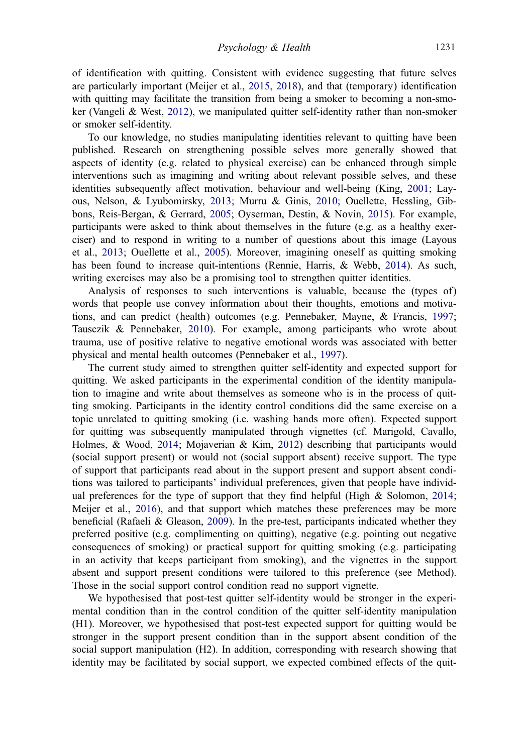<span id="page-3-0"></span>of identification with quitting. Consistent with evidence suggesting that future selves are particularly important (Meijer et al., [2015, 2018\)](#page-20-0), and that (temporary) identification with quitting may facilitate the transition from being a smoker to becoming a non-smoker (Vangeli & West, [2012](#page-22-0)), we manipulated quitter self-identity rather than non-smoker or smoker self-identity.

To our knowledge, no studies manipulating identities relevant to quitting have been published. Research on strengthening possible selves more generally showed that aspects of identity (e.g. related to physical exercise) can be enhanced through simple interventions such as imagining and writing about relevant possible selves, and these identities subsequently affect motivation, behaviour and well-being (King, [2001](#page-20-0); Layous, Nelson, & Lyubomirsky, [2013;](#page-20-0) Murru & Ginis, [2010;](#page-21-0) Ouellette, Hessling, Gibbons, Reis-Bergan, & Gerrard, [2005;](#page-21-0) Oyserman, Destin, & Novin, [2015](#page-21-0)). For example, participants were asked to think about themselves in the future (e.g. as a healthy exerciser) and to respond in writing to a number of questions about this image (Layous et al., [2013](#page-20-0); Ouellette et al., [2005\)](#page-21-0). Moreover, imagining oneself as quitting smoking has been found to increase quit-intentions (Rennie, Harris, & Webb, [2014](#page-21-0)). As such, writing exercises may also be a promising tool to strengthen quitter identities.

Analysis of responses to such interventions is valuable, because the (types of) words that people use convey information about their thoughts, emotions and motivations, and can predict (health) outcomes (e.g. Pennebaker, Mayne, & Francis, [1997](#page-21-0); Tausczik & Pennebaker, [2010\)](#page-22-0). For example, among participants who wrote about trauma, use of positive relative to negative emotional words was associated with better physical and mental health outcomes (Pennebaker et al., [1997\)](#page-21-0).

The current study aimed to strengthen quitter self-identity and expected support for quitting. We asked participants in the experimental condition of the identity manipulation to imagine and write about themselves as someone who is in the process of quitting smoking. Participants in the identity control conditions did the same exercise on a topic unrelated to quitting smoking (i.e. washing hands more often). Expected support for quitting was subsequently manipulated through vignettes (cf. Marigold, Cavallo, Holmes, & Wood, [2014;](#page-20-0) Mojaverian & Kim, [2012](#page-21-0)) describing that participants would (social support present) or would not (social support absent) receive support. The type of support that participants read about in the support present and support absent conditions was tailored to participants' individual preferences, given that people have individual preferences for the type of support that they find helpful (High & Solomon, [2014](#page-19-0); Meijer et al., [2016](#page-20-0)), and that support which matches these preferences may be more beneficial (Rafaeli & Gleason, [2009](#page-21-0)). In the pre-test, participants indicated whether they preferred positive (e.g. complimenting on quitting), negative (e.g. pointing out negative consequences of smoking) or practical support for quitting smoking (e.g. participating in an activity that keeps participant from smoking), and the vignettes in the support absent and support present conditions were tailored to this preference (see Method). Those in the social support control condition read no support vignette.

We hypothesised that post-test quitter self-identity would be stronger in the experimental condition than in the control condition of the quitter self-identity manipulation (H1). Moreover, we hypothesised that post-test expected support for quitting would be stronger in the support present condition than in the support absent condition of the social support manipulation (H2). In addition, corresponding with research showing that identity may be facilitated by social support, we expected combined effects of the quit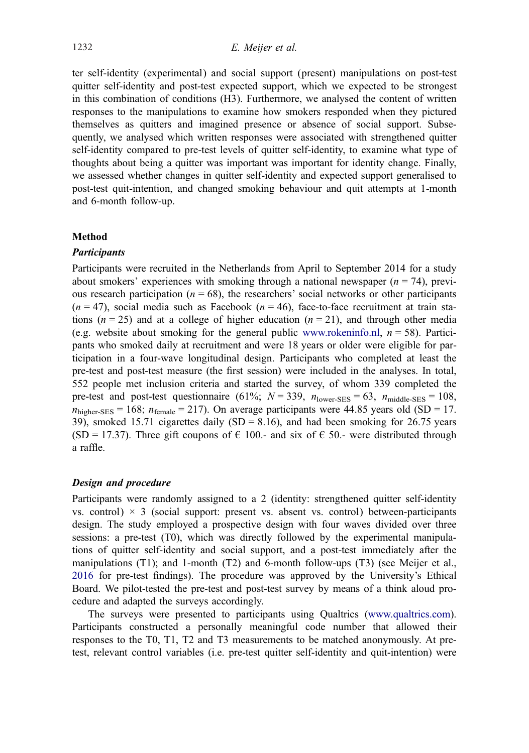ter self-identity (experimental) and social support (present) manipulations on post-test quitter self-identity and post-test expected support, which we expected to be strongest in this combination of conditions (H3). Furthermore, we analysed the content of written responses to the manipulations to examine how smokers responded when they pictured themselves as quitters and imagined presence or absence of social support. Subsequently, we analysed which written responses were associated with strengthened quitter self-identity compared to pre-test levels of quitter self-identity, to examine what type of thoughts about being a quitter was important was important for identity change. Finally, we assessed whether changes in quitter self-identity and expected support generalised to post-test quit-intention, and changed smoking behaviour and quit attempts at 1-month and 6-month follow-up.

## Method

#### **Participants**

Participants were recruited in the Netherlands from April to September 2014 for a study about smokers' experiences with smoking through a national newspaper  $(n = 74)$ , previous research participation ( $n = 68$ ), the researchers' social networks or other participants  $(n = 47)$ , social media such as Facebook  $(n = 46)$ , face-to-face recruitment at train stations ( $n = 25$ ) and at a college of higher education ( $n = 21$ ), and through other media (e.g. website about smoking for the general public [www.rokeninfo.nl](http://www.rokeninfo.nl),  $n = 58$ ). Participants who smoked daily at recruitment and were 18 years or older were eligible for participation in a four-wave longitudinal design. Participants who completed at least the pre-test and post-test measure (the first session) were included in the analyses. In total, 552 people met inclusion criteria and started the survey, of whom 339 completed the pre-test and post-test questionnaire (61%;  $N = 339$ ,  $n_{\text{lower-SES}} = 63$ ,  $n_{\text{middle-SES}} = 108$ ,  $n_{\text{higher-SES}} = 168$ ;  $n_{\text{female}} = 217$ ). On average participants were 44.85 years old (SD = 17. 39), smoked 15.71 cigarettes daily  $(SD = 8.16)$ , and had been smoking for 26.75 years (SD = 17.37). Three gift coupons of  $\epsilon$  100.- and six of  $\epsilon$  50.- were distributed through a raffle.

#### Design and procedure

Participants were randomly assigned to a 2 (identity: strengthened quitter self-identity vs. control)  $\times$  3 (social support: present vs. absent vs. control) between-participants design. The study employed a prospective design with four waves divided over three sessions: a pre-test (T0), which was directly followed by the experimental manipulations of quitter self-identity and social support, and a post-test immediately after the manipulations (T1); and 1-month (T2) and 6-month follow-ups (T3) (see Meijer et al., [2016](#page-20-0) for pre-test findings). The procedure was approved by the University's Ethical Board. We pilot-tested the pre-test and post-test survey by means of a think aloud procedure and adapted the surveys accordingly.

The surveys were presented to participants using Qualtrics [\(www.qualtrics.com](http://www.qualtrics.com)). Participants constructed a personally meaningful code number that allowed their responses to the T0, T1, T2 and T3 measurements to be matched anonymously. At pretest, relevant control variables (i.e. pre-test quitter self-identity and quit-intention) were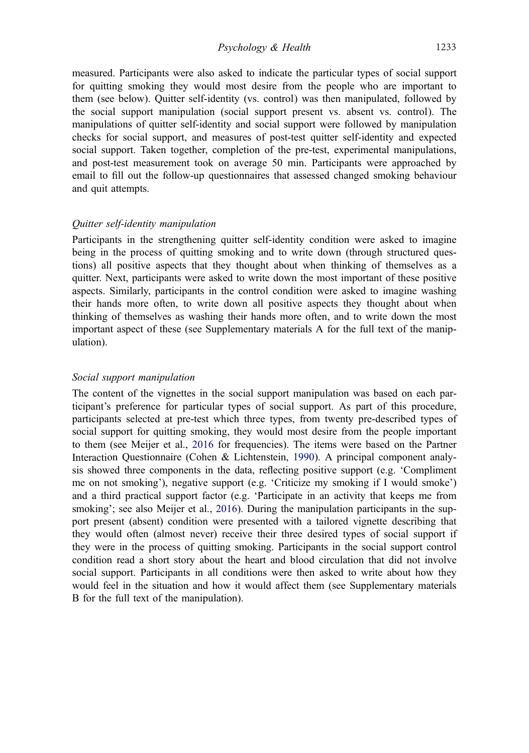<span id="page-5-0"></span>measured. Participants were also asked to indicate the particular types of social support for quitting smoking they would most desire from the people who are important to them (see below). Quitter self-identity (vs. control) was then manipulated, followed by the social support manipulation (social support present vs. absent vs. control). The manipulations of quitter self-identity and social support were followed by manipulation checks for social support, and measures of post-test quitter self-identity and expected social support. Taken together, completion of the pre-test, experimental manipulations, and post-test measurement took on average 50 min. Participants were approached by email to fill out the follow-up questionnaires that assessed changed smoking behaviour and quit attempts.

### Quitter self-identity manipulation

Participants in the strengthening quitter self-identity condition were asked to imagine being in the process of quitting smoking and to write down (through structured questions) all positive aspects that they thought about when thinking of themselves as a quitter. Next, participants were asked to write down the most important of these positive aspects. Similarly, participants in the control condition were asked to imagine washing their hands more often, to write down all positive aspects they thought about when thinking of themselves as washing their hands more often, and to write down the most important aspect of these (see Supplementary materials A for the full text of the manipulation).

#### Social support manipulation

The content of the vignettes in the social support manipulation was based on each participant's preference for particular types of social support. As part of this procedure, participants selected at pre-test which three types, from twenty pre-described types of social support for quitting smoking, they would most desire from the people important to them (see Meijer et al., [2016](#page-20-0) for frequencies). The items were based on the Partner Interaction Questionnaire (Cohen & Lichtenstein, [1990](#page-19-0)). A principal component analysis showed three components in the data, reflecting positive support (e.g. 'Compliment me on not smoking'), negative support (e.g. 'Criticize my smoking if I would smoke') and a third practical support factor (e.g. 'Participate in an activity that keeps me from smoking'; see also Meijer et al., [2016](#page-20-0)). During the manipulation participants in the support present (absent) condition were presented with a tailored vignette describing that they would often (almost never) receive their three desired types of social support if they were in the process of quitting smoking. Participants in the social support control condition read a short story about the heart and blood circulation that did not involve social support. Participants in all conditions were then asked to write about how they would feel in the situation and how it would affect them (see Supplementary materials B for the full text of the manipulation).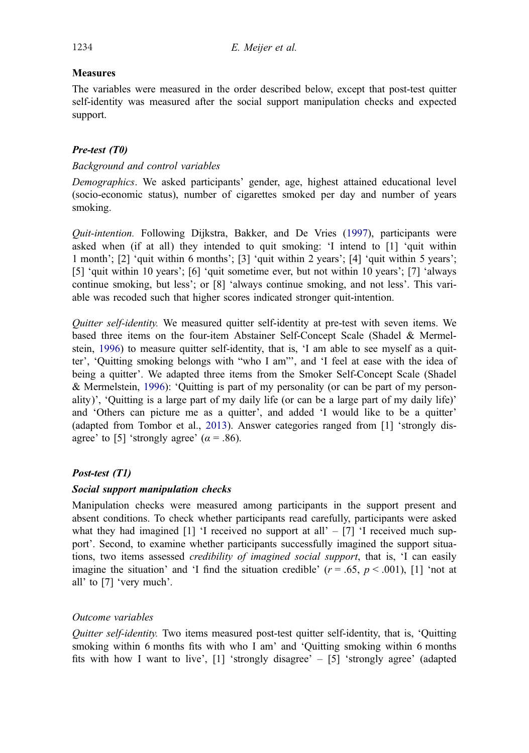# <span id="page-6-0"></span>Measures

The variables were measured in the order described below, except that post-test quitter self-identity was measured after the social support manipulation checks and expected support.

# Pre-test (T0)

# Background and control variables

Demographics. We asked participants' gender, age, highest attained educational level (socio-economic status), number of cigarettes smoked per day and number of years smoking.

Quit-intention. Following Dijkstra, Bakker, and De Vries [\(1997](#page-19-0)), participants were asked when (if at all) they intended to quit smoking: 'I intend to [1] 'quit within 1 month'; [2] 'quit within 6 months'; [3] 'quit within 2 years'; [4] 'quit within 5 years'; [5] 'quit within 10 years'; [6] 'quit sometime ever, but not within 10 years'; [7] 'always continue smoking, but less'; or [8] 'always continue smoking, and not less'. This variable was recoded such that higher scores indicated stronger quit-intention.

Quitter self-identity. We measured quitter self-identity at pre-test with seven items. We based three items on the four-item Abstainer Self-Concept Scale (Shadel & Mermel-stein, [1996](#page-21-0)) to measure quitter self-identity, that is, 'I am able to see myself as a quitter', 'Quitting smoking belongs with "who I am"', and 'I feel at ease with the idea of being a quitter'. We adapted three items from the Smoker Self-Concept Scale (Shadel & Mermelstein, [1996\)](#page-21-0): 'Quitting is part of my personality (or can be part of my personality)', 'Quitting is a large part of my daily life (or can be a large part of my daily life)' and 'Others can picture me as a quitter', and added 'I would like to be a quitter' (adapted from Tombor et al., [2013\)](#page-22-0). Answer categories ranged from [1] 'strongly disagree' to [5] 'strongly agree'  $(\alpha = .86)$ .

# Post-test (T1)

## Social support manipulation checks

Manipulation checks were measured among participants in the support present and absent conditions. To check whether participants read carefully, participants were asked what they had imagined [1] 'I received no support at all'  $-$  [7] 'I received much support'. Second, to examine whether participants successfully imagined the support situations, two items assessed credibility of imagined social support, that is, 'I can easily imagine the situation' and 'I find the situation credible'  $(r = .65, p < .001)$ , [1] 'not at all' to [7] 'very much'.

# Outcome variables

Quitter self-identity. Two items measured post-test quitter self-identity, that is, 'Quitting smoking within 6 months fits with who I am' and 'Quitting smoking within 6 months fits with how I want to live', [1] 'strongly disagree' – [5] 'strongly agree' (adapted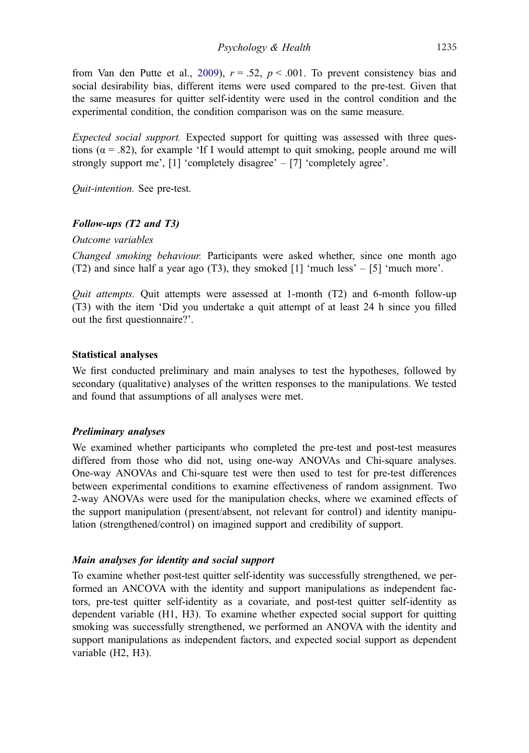from Van den Putte et al., [2009](#page-22-0)),  $r = .52$ ,  $p < .001$ . To prevent consistency bias and social desirability bias, different items were used compared to the pre-test. Given that the same measures for quitter self-identity were used in the control condition and the experimental condition, the condition comparison was on the same measure.

Expected social support. Expected support for quitting was assessed with three questions ( $\alpha$  = .82), for example 'If I would attempt to quit smoking, people around me will strongly support me', [1] 'completely disagree' – [7] 'completely agree'.

Quit-intention. See pre-test.

## Follow-ups (T2 and T3)

Outcome variables

Changed smoking behaviour. Participants were asked whether, since one month ago (T2) and since half a year ago (T3), they smoked [1] 'much less' – [5] 'much more'.

*Quit attempts*. Quit attempts were assessed at 1-month  $(T2)$  and 6-month follow-up (T3) with the item 'Did you undertake a quit attempt of at least 24 h since you filled out the first questionnaire?'.

## Statistical analyses

We first conducted preliminary and main analyses to test the hypotheses, followed by secondary (qualitative) analyses of the written responses to the manipulations. We tested and found that assumptions of all analyses were met.

## Preliminary analyses

We examined whether participants who completed the pre-test and post-test measures differed from those who did not, using one-way ANOVAs and Chi-square analyses. One-way ANOVAs and Chi-square test were then used to test for pre-test differences between experimental conditions to examine effectiveness of random assignment. Two 2-way ANOVAs were used for the manipulation checks, where we examined effects of the support manipulation (present/absent, not relevant for control) and identity manipulation (strengthened/control) on imagined support and credibility of support.

## Main analyses for identity and social support

To examine whether post-test quitter self-identity was successfully strengthened, we performed an ANCOVA with the identity and support manipulations as independent factors, pre-test quitter self-identity as a covariate, and post-test quitter self-identity as dependent variable (H1, H3). To examine whether expected social support for quitting smoking was successfully strengthened, we performed an ANOVA with the identity and support manipulations as independent factors, and expected social support as dependent variable (H2, H3).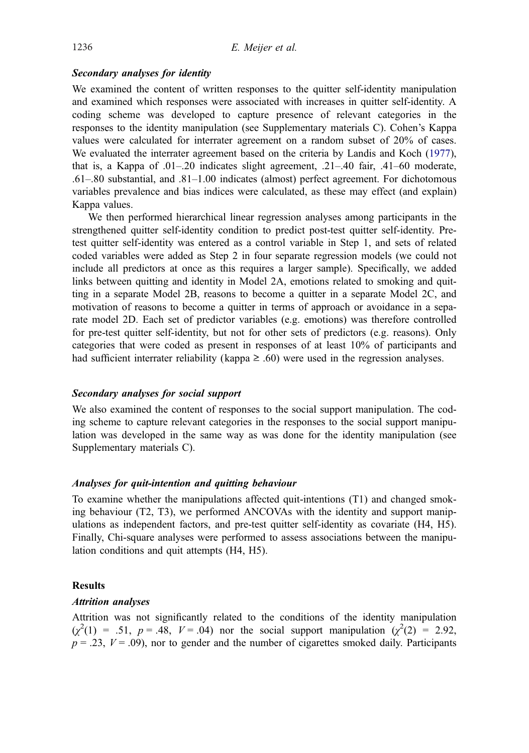## <span id="page-8-0"></span>Secondary analyses for identity

We examined the content of written responses to the quitter self-identity manipulation and examined which responses were associated with increases in quitter self-identity. A coding scheme was developed to capture presence of relevant categories in the responses to the identity manipulation (see Supplementary materials C). Cohen's Kappa values were calculated for interrater agreement on a random subset of 20% of cases. We evaluated the interrater agreement based on the criteria by Landis and Koch [\(1977](#page-20-0)), that is, a Kappa of .01–.20 indicates slight agreement, .21–.40 fair, .41–60 moderate, .61–.80 substantial, and .81–1.00 indicates (almost) perfect agreement. For dichotomous variables prevalence and bias indices were calculated, as these may effect (and explain) Kappa values.

We then performed hierarchical linear regression analyses among participants in the strengthened quitter self-identity condition to predict post-test quitter self-identity. Pretest quitter self-identity was entered as a control variable in Step 1, and sets of related coded variables were added as Step 2 in four separate regression models (we could not include all predictors at once as this requires a larger sample). Specifically, we added links between quitting and identity in Model 2A, emotions related to smoking and quitting in a separate Model 2B, reasons to become a quitter in a separate Model 2C, and motivation of reasons to become a quitter in terms of approach or avoidance in a separate model 2D. Each set of predictor variables (e.g. emotions) was therefore controlled for pre-test quitter self-identity, but not for other sets of predictors (e.g. reasons). Only categories that were coded as present in responses of at least 10% of participants and had sufficient interrater reliability (kappa  $\geq$  .60) were used in the regression analyses.

## Secondary analyses for social support

We also examined the content of responses to the social support manipulation. The coding scheme to capture relevant categories in the responses to the social support manipulation was developed in the same way as was done for the identity manipulation (see Supplementary materials C).

#### Analyses for quit-intention and quitting behaviour

To examine whether the manipulations affected quit-intentions (T1) and changed smoking behaviour (T2, T3), we performed ANCOVAs with the identity and support manipulations as independent factors, and pre-test quitter self-identity as covariate (H4, H5). Finally, Chi-square analyses were performed to assess associations between the manipulation conditions and quit attempts (H4, H5).

## **Results**

## Attrition analyses

Attrition was not significantly related to the conditions of the identity manipulation  $(\chi^2(1) = .51, p = .48, V = .04)$  nor the social support manipulation  $(\chi^2(2) = 2.92,$  $p = .23$ ,  $V = .09$ ), nor to gender and the number of cigarettes smoked daily. Participants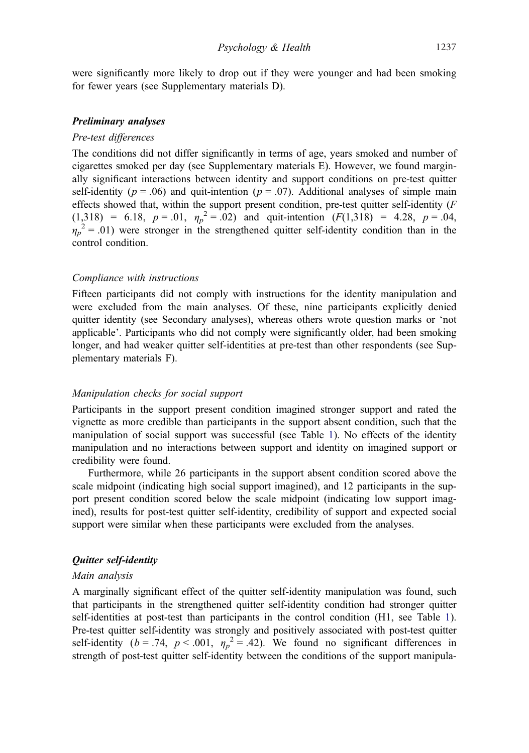were significantly more likely to drop out if they were younger and had been smoking for fewer years (see Supplementary materials D).

### Preliminary analyses

#### Pre-test differences

The conditions did not differ significantly in terms of age, years smoked and number of cigarettes smoked per day (see Supplementary materials E). However, we found marginally significant interactions between identity and support conditions on pre-test quitter self-identity ( $p = .06$ ) and quit-intention ( $p = .07$ ). Additional analyses of simple main effects showed that, within the support present condition, pre-test quitter self-identity  $(F)$  $(1,318) = 6.18$ ,  $p = .01$ ,  $\eta_p^2 = .02$ ) and quit-intention  $(F(1,318)) = 4.28$ ,  $p = .04$ ,  $\eta_p^2 = .01$ ) were stronger in the strengthened quitter self-identity condition than in the control condition.

#### Compliance with instructions

Fifteen participants did not comply with instructions for the identity manipulation and were excluded from the main analyses. Of these, nine participants explicitly denied quitter identity (see Secondary analyses), whereas others wrote question marks or 'not applicable'. Participants who did not comply were significantly older, had been smoking longer, and had weaker quitter self-identities at pre-test than other respondents (see Supplementary materials F).

#### Manipulation checks for social support

Participants in the support present condition imagined stronger support and rated the vignette as more credible than participants in the support absent condition, such that the manipulation of social support was successful (see Table [1](#page-10-0)). No effects of the identity manipulation and no interactions between support and identity on imagined support or credibility were found.

Furthermore, while 26 participants in the support absent condition scored above the scale midpoint (indicating high social support imagined), and 12 participants in the support present condition scored below the scale midpoint (indicating low support imagined), results for post-test quitter self-identity, credibility of support and expected social support were similar when these participants were excluded from the analyses.

## Quitter self-identity

#### Main analysis

A marginally significant effect of the quitter self-identity manipulation was found, such that participants in the strengthened quitter self-identity condition had stronger quitter self-identities at post-test than participants in the control condition (H1, see Table [1](#page-10-0)). Pre-test quitter self-identity was strongly and positively associated with post-test quitter self-identity ( $b = .74$ ,  $p < .001$ ,  $\eta_p^2 = .42$ ). We found no significant differences in strength of post-test quitter self-identity between the conditions of the support manipula-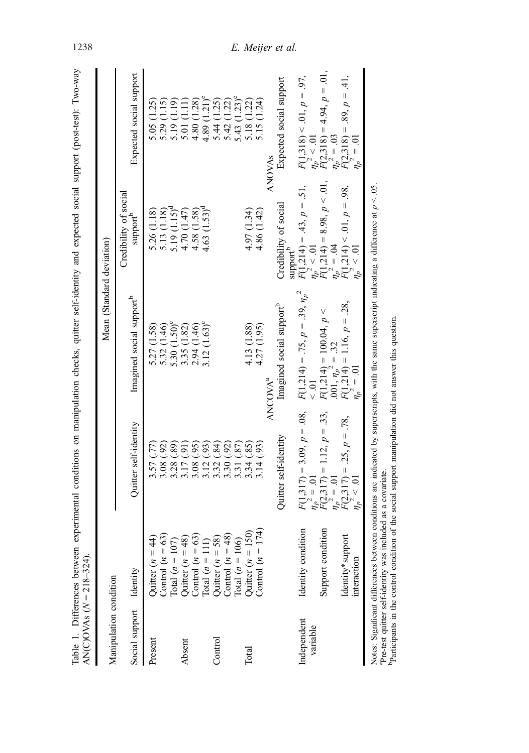| Table 1. Differences between<br>$\text{AN(C)OVAs} (N = 218 - 324).$ |                                                                                                                                                      |                                                                                                                                                      | experimental conditions on manipulation checks, quitter self-identity and expected social support (post-test): Two-way          |                                                                                                                                                                             |                                                                                                                                                                                                                                                   |
|---------------------------------------------------------------------|------------------------------------------------------------------------------------------------------------------------------------------------------|------------------------------------------------------------------------------------------------------------------------------------------------------|---------------------------------------------------------------------------------------------------------------------------------|-----------------------------------------------------------------------------------------------------------------------------------------------------------------------------|---------------------------------------------------------------------------------------------------------------------------------------------------------------------------------------------------------------------------------------------------|
| Manipulation condition                                              |                                                                                                                                                      |                                                                                                                                                      | Mean (Standard deviation)                                                                                                       |                                                                                                                                                                             |                                                                                                                                                                                                                                                   |
| Social support Identity                                             |                                                                                                                                                      | Quitter self-identity                                                                                                                                | Imagined social support <sup>b</sup>                                                                                            | Credibility of social<br>support <sup>b</sup>                                                                                                                               | Expected social support                                                                                                                                                                                                                           |
| Present                                                             | $\overline{4}$<br>Quiter $(n = 4$<br>Control $(n = 6)$                                                                                               | $3.57(.77)$<br>$3.08(.92)$                                                                                                                           | 5.27 (1.58)<br>5.32 (1.46)                                                                                                      | 5.26 (1.18)<br>5.13 (1.18)                                                                                                                                                  | 5.05 (1.25)<br>5.29 (1.15)                                                                                                                                                                                                                        |
| Absent                                                              | Control $(n = 63)$<br>Total $(n = 107)$<br>Quitter $(n = 48)$<br>Control $(n = 63)$<br>Total $(n = 111)$<br>Quitter $(n = 58)$<br>Quitter $(n = 58)$ |                                                                                                                                                      | 5.30 (1.50) <sup>c</sup><br>3.35 (1.82)<br>2.94 (1.46)<br>$(1.63)^c$<br>3.12(                                                   | $\frac{5.19}{4.70} \frac{(1.15)^d}{(1.47)}$<br>4.58 (1.58)<br>$4.63(1.53)^d$                                                                                                |                                                                                                                                                                                                                                                   |
| Control                                                             |                                                                                                                                                      | <b>856646669</b>                                                                                                                                     |                                                                                                                                 |                                                                                                                                                                             | $\begin{array}{l} 5.19\ (1.19)\\ 5.01\ (1.11)\\ 4.80\ (1.23)\\ 4.89\ (1.21)^{2}\\ 5.44\ (1.21)^{2}\\ 4.42\ (1.22)\\ 5.44\ (1.23)^{2}\\ 5.43\ (1.23)^{2}\\ 5.15\ (1.24)\\ 5.15\ (1.24)\\ 5.15\ (1.24)\\ 5.15\ (1.25)\\ 5.15\ (1.27)\\ \end{array}$ |
| Total                                                               | 174<br>Total $(n = 106)$<br>Quitter $(n = 150)$<br>Control $(n =$                                                                                    | Quitter self-identity<br>(93)<br>3.14                                                                                                                | Imagined social support <sup>b</sup><br>4.13 (1.88)<br>4.27 (1.95)<br>ANCOVA <sup>a</sup>                                       | Credibility of social<br>4.97 (1.34)<br>4.86 (1.42)                                                                                                                         | Expected social support<br><b>ANOVAS</b>                                                                                                                                                                                                          |
| Independent<br>variable                                             | Support condition<br>Identity condition<br>Identity*support<br>interaction                                                                           | $F(1,317) = 3.09, p = .08,$<br>$\eta_p^2 = .01$<br>$F(2,317) = 1.12, p = .33,$<br>$\eta_p^2 = .01$<br>$F(2,317) = .25, p = .78,$<br>$\eta_p^2 < .01$ | $F(1,214) = .75, p = .39, \eta_p^2$<br>$F(1,214) = 100.04, p \n.001, \eta_p^2 = .32\nF(1,214) = 1.16, p = .28,\n\eta_p^2 = .01$ | $F(1,214) = 8.98, p < .01,$<br>$\eta_p^2 = .04$<br>$F(1,214) < .01, p = .98,$<br>$\eta_p^2 < .01$<br>$F(1,214) = .43, p = .51,$<br>$\eta_p^2 < .01$<br>support <sup>b</sup> | $\vec{F}(2,318) = 4.94, p = .01,$<br>$\eta_p^2 = .03$<br>$\vec{F}(2,318) = .89, p = .41,$<br>$\eta_p^2 = .01$<br>$F(1,318) < .01, p = .97,$<br>$\eta_p^2 < .01$                                                                                   |
| مست 1:A مست 2: المست 2: المست 1: NT                                 | اد ما ابن                                                                                                                                            | ومرادا المعام والمناسب ومستغلظ ومحمد                                                                                                                 | والمتلفظ والمتناسب والمستشمر ومستنبذ                                                                                            | کم<br>د<br>and the distance of all films.                                                                                                                                   |                                                                                                                                                                                                                                                   |

Notes: Significant differences between conditions are indicated by superscripts, with the same superscript indicating a difference at Notes: Significant differences between conditions are indicated by superscripts, with the same superscript indicating a difference at  $p < 0.05$ .<br><sup>a</sup>Pre-test quitter self-identity was included as a covariate.<br><sup>b</sup>Participan

aPre-test quitter self-identity was included as a covariate. bParticipants in the control condition of the social support manipulation did not answer this question.

# <span id="page-10-0"></span>1238 E. Meijer et al.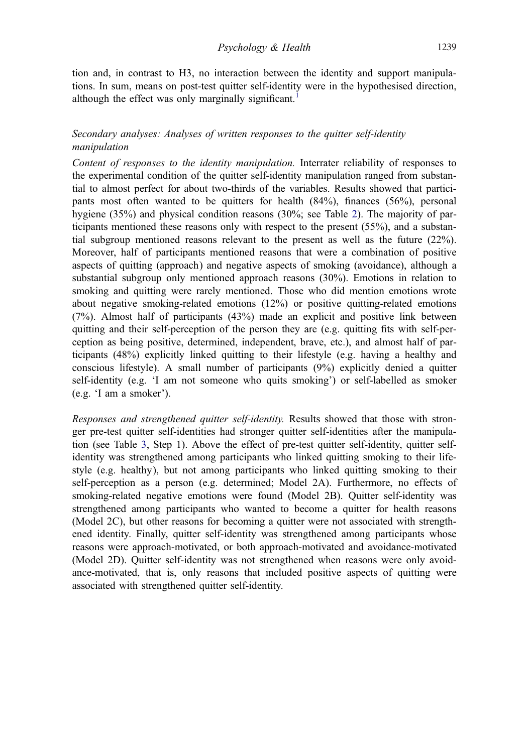tion and, in contrast to H3, no interaction between the identity and support manipulations. In sum, means on post-test quitter self-identity were in the hypothesised direction, although the effect was only marginally significant.<sup>[1](#page-19-0)</sup>

# Secondary analyses: Analyses of written responses to the quitter self-identity manipulation

Content of responses to the identity manipulation. Interrater reliability of responses to the experimental condition of the quitter self-identity manipulation ranged from substantial to almost perfect for about two-thirds of the variables. Results showed that participants most often wanted to be quitters for health (84%), finances (56%), personal hygiene (35%) and physical condition reasons (30%; see Table [2](#page-12-0)). The majority of participants mentioned these reasons only with respect to the present (55%), and a substantial subgroup mentioned reasons relevant to the present as well as the future (22%). Moreover, half of participants mentioned reasons that were a combination of positive aspects of quitting (approach) and negative aspects of smoking (avoidance), although a substantial subgroup only mentioned approach reasons (30%). Emotions in relation to smoking and quitting were rarely mentioned. Those who did mention emotions wrote about negative smoking-related emotions (12%) or positive quitting-related emotions (7%). Almost half of participants (43%) made an explicit and positive link between quitting and their self-perception of the person they are (e.g. quitting fits with self-perception as being positive, determined, independent, brave, etc.), and almost half of participants (48%) explicitly linked quitting to their lifestyle (e.g. having a healthy and conscious lifestyle). A small number of participants (9%) explicitly denied a quitter self-identity (e.g. 'I am not someone who quits smoking') or self-labelled as smoker (e.g. 'I am a smoker').

Responses and strengthened quitter self-identity. Results showed that those with stronger pre-test quitter self-identities had stronger quitter self-identities after the manipulation (see Table [3,](#page-13-0) Step 1). Above the effect of pre-test quitter self-identity, quitter selfidentity was strengthened among participants who linked quitting smoking to their lifestyle (e.g. healthy), but not among participants who linked quitting smoking to their self-perception as a person (e.g. determined; Model 2A). Furthermore, no effects of smoking-related negative emotions were found (Model 2B). Quitter self-identity was strengthened among participants who wanted to become a quitter for health reasons (Model 2C), but other reasons for becoming a quitter were not associated with strengthened identity. Finally, quitter self-identity was strengthened among participants whose reasons were approach-motivated, or both approach-motivated and avoidance-motivated (Model 2D). Quitter self-identity was not strengthened when reasons were only avoidance-motivated, that is, only reasons that included positive aspects of quitting were associated with strengthened quitter self-identity.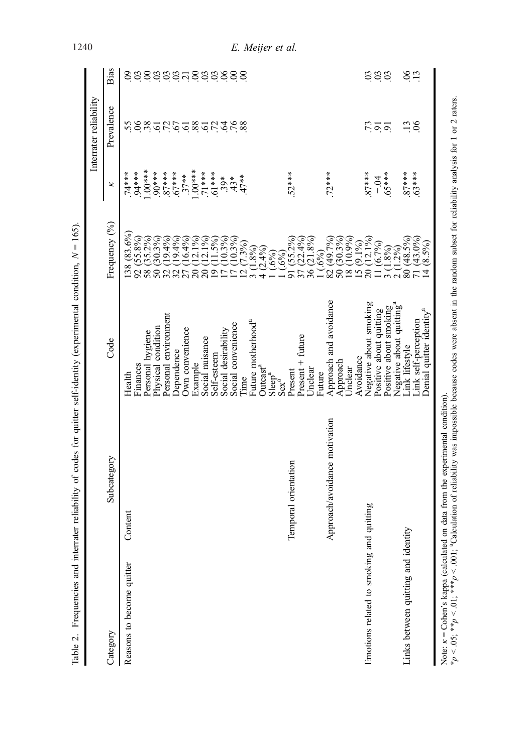|                                          |                               |                                                                |                                                                                                          |                 | Interrater reliability           |                    |
|------------------------------------------|-------------------------------|----------------------------------------------------------------|----------------------------------------------------------------------------------------------------------|-----------------|----------------------------------|--------------------|
| Category                                 | Subcategory                   | Code                                                           | Frequency (%)                                                                                            | ×               | Prevalence                       | Bias               |
| Reasons to become quitter                | Content                       | Finances<br>Health                                             | $(83.6\%)$<br><b>138</b><br>92 <sub>1</sub>                                                              | ****.<br>74**** | .55                              | $\frac{3}{2}$      |
|                                          |                               | Personal hygiene                                               | $(55.8%)$<br>$(35.2%)$<br>58 <sub>1</sub>                                                                | $1.00***$       | 38                               |                    |
|                                          |                               | Physical condition                                             | $(30.3\%)$<br>50 <sub>1</sub>                                                                            | $****06$ .      |                                  |                    |
|                                          |                               | Personal environment                                           | $(19.4\%)$<br>32                                                                                         | $.87***$        |                                  |                    |
|                                          |                               | <b>Dependence</b>                                              | $(19.4\%)$<br>32                                                                                         | $67***$         | 52558                            | <u>saaausaassa</u> |
|                                          |                               | Own convenience                                                | 16.4%<br>27                                                                                              | $.37**$         |                                  |                    |
|                                          |                               | Example                                                        | $12.1\%$<br>$\overline{c}$                                                                               | $1.00***$       |                                  |                    |
|                                          |                               | Social nuisance                                                | $12.1\%$<br>$\overline{20}$                                                                              | $71***$         | 572                              |                    |
|                                          |                               | Self-esteem                                                    | $11.5\%$<br>$\overline{\mathcal{C}}$                                                                     | $***19.$        |                                  |                    |
|                                          |                               | Social desirability                                            | $(10.3\%)$<br>$\overline{D}$                                                                             | $39*$           | $\ddot{q}$ $\ddot{6}$ $\ddot{8}$ |                    |
|                                          |                               | Social convenience                                             |                                                                                                          | $43*$           |                                  |                    |
|                                          |                               | Time                                                           | $\begin{pmatrix} 1 & 0.39 & 0 \\ 0 & 0.39 & 0 \\ 0 & 0 & 0 \\ 0 & 0 & 0 \end{pmatrix}$<br>$\overline{q}$ | $47**$          |                                  |                    |
|                                          |                               | Future motherhood <sup>a</sup>                                 |                                                                                                          |                 |                                  |                    |
|                                          |                               | Outcast <sup>a</sup>                                           | $(2.4\%)$                                                                                                |                 |                                  |                    |
|                                          |                               | Slerer <sup>a</sup>                                            | $(.6\%)$                                                                                                 |                 |                                  |                    |
|                                          |                               | $Sex^{a}$                                                      | (.6%)                                                                                                    |                 |                                  |                    |
|                                          | Temporal orientation          | Present                                                        | $(55.2\%)$<br>$(22.4\%)$<br>$(21.8\%)$<br>$\overline{\sigma}$                                            | 52***           |                                  |                    |
|                                          |                               | $P$ resent + future                                            | 37(                                                                                                      |                 |                                  |                    |
|                                          |                               | Unclear                                                        | 36 <sub>1</sub>                                                                                          |                 |                                  |                    |
|                                          |                               | Future                                                         | (0.69)                                                                                                   |                 |                                  |                    |
|                                          | Approach/avoidance motivation | Approach and avoidance                                         | (49.7%)<br>(30.3%)<br>$\overline{82}$<br>50 <sub>1</sub>                                                 | $72***$         |                                  |                    |
|                                          |                               | Approach<br>Jnclear                                            | $(10.9\%)$                                                                                               |                 |                                  |                    |
|                                          |                               | Avoidance                                                      | $rac{8}{15}$                                                                                             |                 |                                  |                    |
| Emotions related to smoking and quitting |                               | Negative about smoking                                         | $(9.1\%)$<br>$(12.1\%)$<br>$\overline{20}$                                                               | $87***$         |                                  |                    |
|                                          |                               | Positive about quitting                                        | (6.7%)                                                                                                   | $-0.4$          | 550                              | sas                |
|                                          |                               | Positive about smoking<br>Negative about quitting <sup>a</sup> | .8%<br>೦<br>೧ ೧                                                                                          | $***8$          |                                  |                    |
|                                          |                               |                                                                | $1.2\%$                                                                                                  |                 |                                  |                    |
| Links between quitting and identity      |                               | ink lifestyle                                                  | $(48.5%)$<br>$(43.0%)$<br>$\overline{80}$                                                                | $87***$         | $\ddot{.}$                       | $rac{6}{13}$       |
|                                          |                               | Link self-perception                                           |                                                                                                          | $.63***$        | $\infty$                         |                    |
|                                          |                               | Denial quitter identity <sup>a</sup>                           | (8.5%)<br>$\overline{4}$                                                                                 |                 |                                  |                    |

# <span id="page-12-0"></span>1240 E. Meijer et al.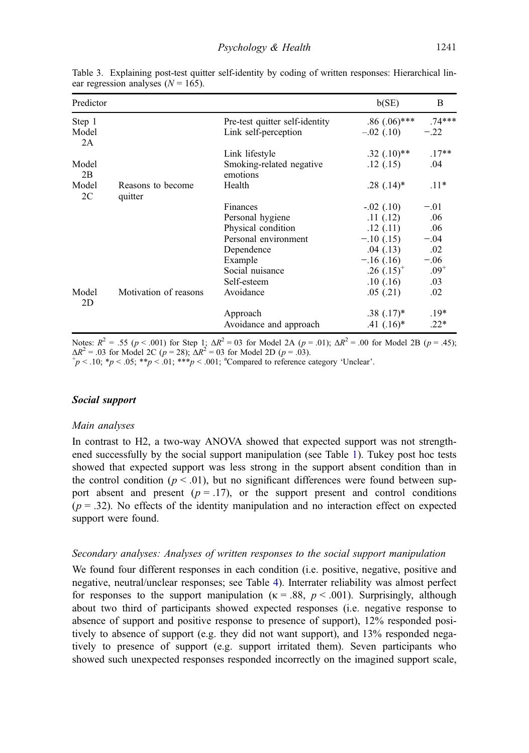| Predictor               |                              |                                      | b(SE)             | B         |
|-------------------------|------------------------------|--------------------------------------|-------------------|-----------|
| Step 1                  |                              | Pre-test quitter self-identity       | $.86$ (.06)***    | $.74***$  |
| Model<br>2A             |                              | Link self-perception                 | $-.02$ (.10)      | $-.22$    |
|                         |                              | Link lifestyle                       | $.32$ $(.10)**$   | $.17**$   |
| Model<br>2B             |                              | Smoking-related negative<br>emotions | .12(.15)          | .04       |
| Model<br>2 <sub>C</sub> | Reasons to become<br>quitter | Health                               | $.28(.14)$ *      | $.11*$    |
|                         |                              | Finances                             | $-.02$ $(.10)$    | $-.01$    |
|                         |                              | Personal hygiene                     | .11(.12)          | .06       |
|                         |                              | Physical condition                   | .12(.11)          | .06       |
|                         |                              | Personal environment                 | $-.10(.15)$       | $-.04$    |
|                         |                              | Dependence                           | .04(0.13)         | .02       |
|                         |                              | Example                              | $-.16(.16)$       | $-.06$    |
|                         |                              | Social nuisance                      | $.26$ $(.15)^{+}$ | $.09^{+}$ |
|                         |                              | Self-esteem                          | .10(0.16)         | .03       |
| Model<br>2D             | Motivation of reasons        | Avoidance                            | .05(0.21)         | .02       |
|                         |                              | Approach                             | $.38(.17)^*$      | $.19*$    |
|                         |                              | Avoidance and approach               | $.41$ $(.16)^*$   | $.22*$    |

<span id="page-13-0"></span>Table 3. Explaining post-test quitter self-identity by coding of written responses: Hierarchical linear regression analyses  $(N = 165)$ .

Notes:  $R^2 = .55$  ( $p < .001$ ) for Step 1;  $\Delta R^2 = 0.03$  for Model 2A ( $p = .01$ );  $\Delta R^2 = .00$  for Model 2B ( $p = .45$ );  $\Delta R^2$  = .03 for Model 2C (p = 28);  $\Delta R^2$  = 03 for Model 2D (p = .03).

 $p < 0.10$ ; \*p < .05; \*\*p < .01; \*\*\*p < .001; \*\* Compared to reference category 'Unclear'.

#### Social support

#### Main analyses

In contrast to H2, a two-way ANOVA showed that expected support was not strengthened successfully by the social support manipulation (see Table [1\)](#page-10-0). Tukey post hoc tests showed that expected support was less strong in the support absent condition than in the control condition ( $p < .01$ ), but no significant differences were found between support absent and present ( $p = .17$ ), or the support present and control conditions  $(p = .32)$ . No effects of the identity manipulation and no interaction effect on expected support were found.

#### Secondary analyses: Analyses of written responses to the social support manipulation

We found four different responses in each condition (i.e. positive, negative, positive and negative, neutral/unclear responses; see Table [4\)](#page-14-0). Interrater reliability was almost perfect for responses to the support manipulation ( $\kappa = .88$ ,  $p < .001$ ). Surprisingly, although about two third of participants showed expected responses (i.e. negative response to absence of support and positive response to presence of support), 12% responded positively to absence of support (e.g. they did not want support), and 13% responded negatively to presence of support (e.g. support irritated them). Seven participants who showed such unexpected responses responded incorrectly on the imagined support scale,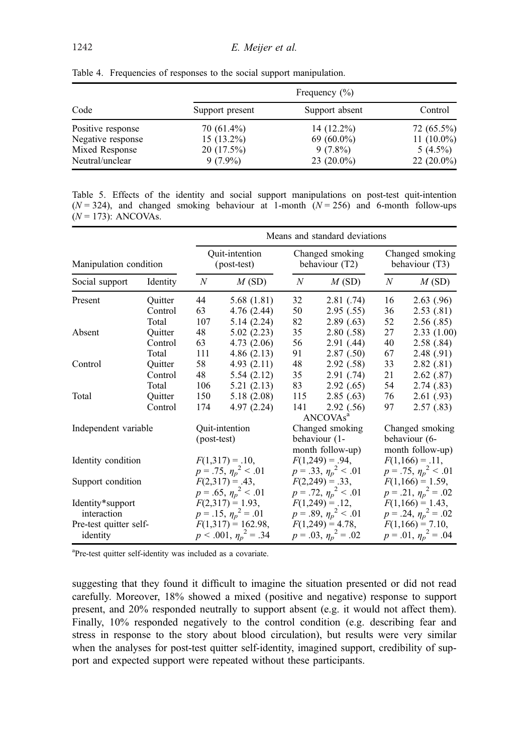|                   | Frequency $(\% )$ |                |               |  |  |
|-------------------|-------------------|----------------|---------------|--|--|
| Code              | Support present   | Support absent | Control       |  |  |
| Positive response | 70 (61.4%)        | $14(12.2\%)$   | 72 (65.5%)    |  |  |
| Negative response | $15(13.2\%)$      | 69 $(60.0\%)$  | 11 $(10.0\%)$ |  |  |
| Mixed Response    | $20(17.5\%)$      | $9(7.8\%)$     | $5(4.5\%)$    |  |  |
| Neutral/unclear   | $9(7.9\%)$        | $23(20.0\%)$   | $22(20.0\%)$  |  |  |

<span id="page-14-0"></span>Table 4. Frequencies of responses to the social support manipulation.

Table 5. Effects of the identity and social support manipulations on post-test quit-intention  $(N = 324)$ , and changed smoking behaviour at 1-month  $(N = 256)$  and 6-month follow-ups  $(N = 173)$ : ANCOVAs.

|                        |          | Means and standard deviations |                            |                                   |                           |                                   |                              |  |
|------------------------|----------|-------------------------------|----------------------------|-----------------------------------|---------------------------|-----------------------------------|------------------------------|--|
| Manipulation condition |          | Quit-intention<br>(post-test) |                            | Changed smoking<br>behaviour (T2) |                           | Changed smoking<br>behaviour (T3) |                              |  |
| Social support         | Identity | N                             | M(SD)                      | N                                 | M(SD)                     | N                                 | M(SD)                        |  |
| Present                | Ouitter  | 44                            | 5.68 $(1.81)$              | 32                                | 2.81(0.74)                | 16                                | 2.63(0.96)                   |  |
|                        | Control  | 63                            | 4.76 (2.44)                | 50                                | 2.95(.55)                 | 36                                | 2.53(0.81)                   |  |
|                        | Total    | 107                           | 5.14(2.24)                 | 82                                | 2.89(0.63)                | 52                                | 2.56(.85)                    |  |
| Absent                 | Quitter  | 48                            | 5.02(2.23)                 | 35                                | 2.80(.58)                 | 27                                | 2.33(1.00)                   |  |
|                        | Control  | 63                            | 4.73(2.06)                 | 56                                | 2.91(0.44)                | 40                                | 2.58(.84)                    |  |
|                        | Total    | 111                           | 4.86(2.13)                 | 91                                | 2.87(.50)                 | 67                                | 2.48(0.91)                   |  |
| Control                | Quitter  | 58                            | 4.93(2.11)                 | 48                                | 2.92(0.58)                | 33                                | 2.82(.81)                    |  |
|                        | Control  | 48                            | 5.54(2.12)                 | 35                                | 2.91(0.74)                | 21                                | 2.62(0.87)                   |  |
|                        | Total    | 106                           | 5.21(2.13)                 | 83                                | 2.92(0.65)                | 54                                | 2.74(0.83)                   |  |
| Total                  | Quitter  | 150                           | 5.18(2.08)                 | 115                               | 2.85(0.63)                | 76                                | 2.61(0.93)                   |  |
|                        | Control  | 174                           | 4.97 (2.24)                | 141                               | 2.92(0.56)                | 97                                | 2.57(0.83)                   |  |
|                        |          |                               |                            |                                   | ANCOVAs <sup>a</sup>      |                                   |                              |  |
| Independent variable   |          |                               | <b>Ouit-intention</b>      |                                   | Changed smoking           |                                   | Changed smoking              |  |
|                        |          |                               | (post-test)                |                                   | behaviour (1-             |                                   | behaviour (6-                |  |
|                        |          |                               |                            |                                   | month follow-up)          |                                   | month follow-up)             |  |
| Identity condition     |          |                               | $F(1,317) = .10,$          |                                   | $F(1,249) = .94,$         |                                   | $F(1,166) = .11,$            |  |
|                        |          |                               | $p=.75, \eta_p^2 < .01$    |                                   | $p=.33, \eta_p^2 < .01$   |                                   | $p=.75, \eta_p^2 < .01$      |  |
| Support condition      |          |                               | $F(2,317) = .43,$          |                                   | $F(2,249) = .33,$         |                                   | $F(1,166) = 1.59$ ,          |  |
|                        |          |                               | $p = .65, \eta_p^2 < .01$  |                                   | $p=.72, \eta_p^2 < .01$   |                                   | $p=.21, \eta_p^2=.02$        |  |
| Identity*support       |          |                               | $F(2,317) = 1.93,$         |                                   | $F(1,249) = .12,$         |                                   | $F(1,166) = 1.43,$           |  |
| interaction            |          |                               | $p=.15, \eta_p^2=.01$      |                                   | $p = .89, \eta_p^2 < .01$ |                                   | $p = .24$ , $\eta_p^2 = .02$ |  |
| Pre-test quitter self- |          |                               | $F(1,317) = 162.98$ ,      |                                   | $F(1,249) = 4.78$ ,       |                                   | $F(1,166) = 7.10$ ,          |  |
| identity               |          |                               | $p < .001, \eta_p^2 = .34$ |                                   | $p = .03, \eta_p^2 = .02$ |                                   | $p = .01, \eta_p^2 = .04$    |  |

<sup>a</sup>Pre-test quitter self-identity was included as a covariate.

suggesting that they found it difficult to imagine the situation presented or did not read carefully. Moreover, 18% showed a mixed (positive and negative) response to support present, and 20% responded neutrally to support absent (e.g. it would not affect them). Finally, 10% responded negatively to the control condition (e.g. describing fear and stress in response to the story about blood circulation), but results were very similar when the analyses for post-test quitter self-identity, imagined support, credibility of support and expected support were repeated without these participants.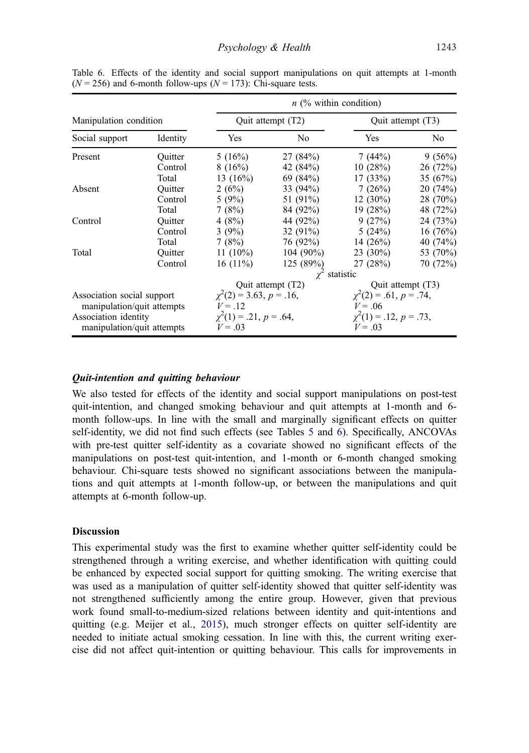|                                                    |          | $n$ (% within condition)                 |                    |                                          |                |
|----------------------------------------------------|----------|------------------------------------------|--------------------|------------------------------------------|----------------|
| Manipulation condition                             |          | Quit attempt (T2)                        |                    | Quit attempt (T3)                        |                |
| Social support                                     | Identity | Yes                                      | No                 | Yes                                      | N <sub>0</sub> |
| Present                                            | Ouitter  | 5(16%)                                   | 27(84%)            | 7(44%)                                   | 9(56%)         |
|                                                    | Control  | 8(16%)                                   | 42 (84%)           | 10(28%)                                  | 26(72%)        |
|                                                    | Total    | 13 $(16%)$                               | 69 (84%)           | 17(33%)                                  | 35 $(67%)$     |
| Absent                                             | Ouitter  | 2(6%)                                    | 33 $(94%)$         | 7(26%)                                   | 20(74%)        |
|                                                    | Control  | 5(9%)                                    | 51 (91%)           | $12(30\%)$                               | 28 (70%)       |
|                                                    | Total    | 7(8%)                                    | 84 (92%)           | 19(28%)                                  | 48 (72%)       |
| Control                                            | Ouitter  | 4(8%)                                    | 44 (92%)           | 9(27%)                                   | 24 (73%)       |
|                                                    | Control  | 3 $(9%)$                                 | 32 $(91\%)$        | 5(24%)                                   | 16(76%)        |
|                                                    | Total    | 7(8%)                                    | 76 (92%)           | 14 $(26%)$                               | 40 (74%)       |
| Total                                              | Ouitter  | 11 $(10\%)$                              | 104 (90%)          | $23(30\%)$                               | 53 (70%)       |
|                                                    | Control  | $16(11\%)$                               | 125(89%)           | 27 (28%)                                 | 70 (72%)       |
|                                                    |          |                                          | $\chi^2$ statistic |                                          |                |
|                                                    |          | Quit attempt (T2)                        |                    | Quit attempt (T3)                        |                |
| Association social support                         |          | $\chi^2(2) = 3.63, p = .16,$             |                    | $\chi^2(2) = .61, p = .74,$              |                |
| manipulation/quit attempts                         |          | $V = .12$                                |                    | $V = .06$                                |                |
| Association identity<br>manipulation/quit attempts |          | $\chi^2(1) = .21, p = .64,$<br>$V = .03$ |                    | $\chi^2(1) = .12, p = .73,$<br>$V = .03$ |                |

Table 6. Effects of the identity and social support manipulations on quit attempts at 1-month  $(N = 256)$  and 6-month follow-ups  $(N = 173)$ : Chi-square tests.

## Quit-intention and quitting behaviour

We also tested for effects of the identity and social support manipulations on post-test quit-intention, and changed smoking behaviour and quit attempts at 1-month and 6 month follow-ups. In line with the small and marginally significant effects on quitter self-identity, we did not find such effects (see Tables [5](#page-14-0) and 6). Specifically, ANCOVAs with pre-test quitter self-identity as a covariate showed no significant effects of the manipulations on post-test quit-intention, and 1-month or 6-month changed smoking behaviour. Chi-square tests showed no significant associations between the manipulations and quit attempts at 1-month follow-up, or between the manipulations and quit attempts at 6-month follow-up.

## **Discussion**

This experimental study was the first to examine whether quitter self-identity could be strengthened through a writing exercise, and whether identification with quitting could be enhanced by expected social support for quitting smoking. The writing exercise that was used as a manipulation of quitter self-identity showed that quitter self-identity was not strengthened sufficiently among the entire group. However, given that previous work found small-to-medium-sized relations between identity and quit-intentions and quitting (e.g. Meijer et al., [2015](#page-20-0)), much stronger effects on quitter self-identity are needed to initiate actual smoking cessation. In line with this, the current writing exercise did not affect quit-intention or quitting behaviour. This calls for improvements in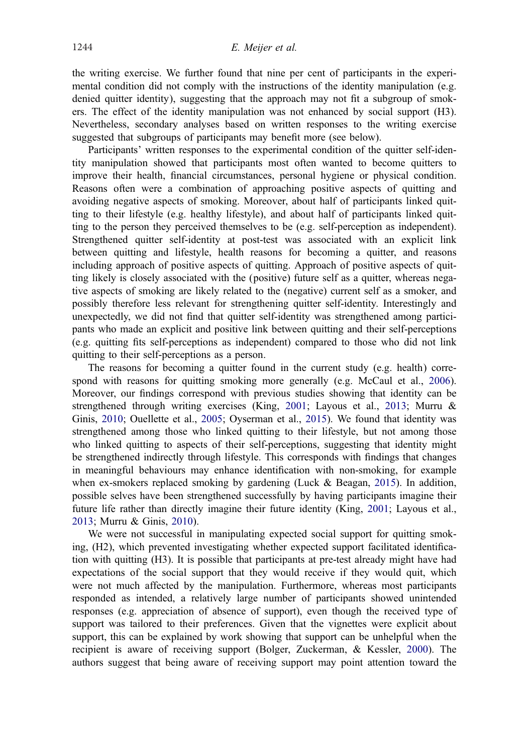<span id="page-16-0"></span>the writing exercise. We further found that nine per cent of participants in the experimental condition did not comply with the instructions of the identity manipulation (e.g. denied quitter identity), suggesting that the approach may not fit a subgroup of smokers. The effect of the identity manipulation was not enhanced by social support (H3). Nevertheless, secondary analyses based on written responses to the writing exercise suggested that subgroups of participants may benefit more (see below).

Participants' written responses to the experimental condition of the quitter self-identity manipulation showed that participants most often wanted to become quitters to improve their health, financial circumstances, personal hygiene or physical condition. Reasons often were a combination of approaching positive aspects of quitting and avoiding negative aspects of smoking. Moreover, about half of participants linked quitting to their lifestyle (e.g. healthy lifestyle), and about half of participants linked quitting to the person they perceived themselves to be (e.g. self-perception as independent). Strengthened quitter self-identity at post-test was associated with an explicit link between quitting and lifestyle, health reasons for becoming a quitter, and reasons including approach of positive aspects of quitting. Approach of positive aspects of quitting likely is closely associated with the (positive) future self as a quitter, whereas negative aspects of smoking are likely related to the (negative) current self as a smoker, and possibly therefore less relevant for strengthening quitter self-identity. Interestingly and unexpectedly, we did not find that quitter self-identity was strengthened among participants who made an explicit and positive link between quitting and their self-perceptions (e.g. quitting fits self-perceptions as independent) compared to those who did not link quitting to their self-perceptions as a person.

The reasons for becoming a quitter found in the current study (e.g. health) corre-spond with reasons for quitting smoking more generally (e.g. McCaul et al., [2006](#page-20-0)). Moreover, our findings correspond with previous studies showing that identity can be strengthened through writing exercises (King, [2001](#page-20-0); Layous et al., [2013](#page-20-0); Murru & Ginis, [2010;](#page-21-0) Ouellette et al., [2005;](#page-21-0) Oyserman et al., [2015](#page-21-0)). We found that identity was strengthened among those who linked quitting to their lifestyle, but not among those who linked quitting to aspects of their self-perceptions, suggesting that identity might be strengthened indirectly through lifestyle. This corresponds with findings that changes in meaningful behaviours may enhance identification with non-smoking, for example when ex-smokers replaced smoking by gardening (Luck & Beagan, [2015](#page-20-0)). In addition, possible selves have been strengthened successfully by having participants imagine their future life rather than directly imagine their future identity (King, [2001;](#page-20-0) Layous et al., [2013](#page-20-0); Murru & Ginis, [2010](#page-21-0)).

We were not successful in manipulating expected social support for quitting smoking, (H2), which prevented investigating whether expected support facilitated identification with quitting (H3). It is possible that participants at pre-test already might have had expectations of the social support that they would receive if they would quit, which were not much affected by the manipulation. Furthermore, whereas most participants responded as intended, a relatively large number of participants showed unintended responses (e.g. appreciation of absence of support), even though the received type of support was tailored to their preferences. Given that the vignettes were explicit about support, this can be explained by work showing that support can be unhelpful when the recipient is aware of receiving support (Bolger, Zuckerman, & Kessler, [2000](#page-19-0)). The authors suggest that being aware of receiving support may point attention toward the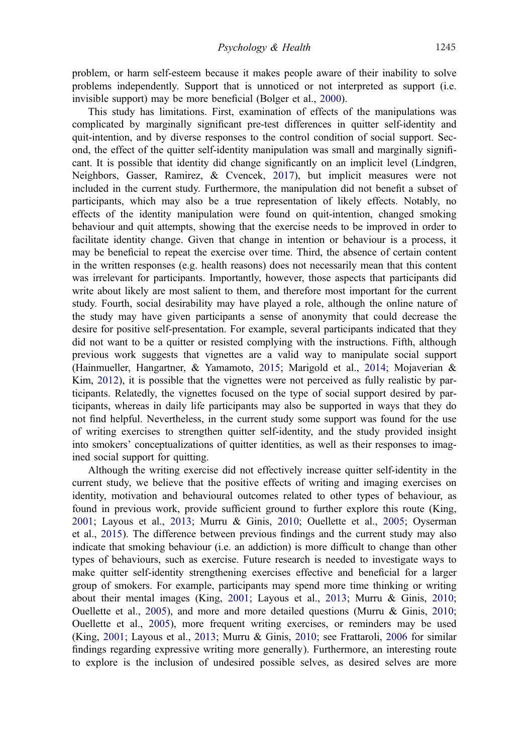<span id="page-17-0"></span>problem, or harm self-esteem because it makes people aware of their inability to solve problems independently. Support that is unnoticed or not interpreted as support (i.e. invisible support) may be more beneficial (Bolger et al., [2000](#page-19-0)).

This study has limitations. First, examination of effects of the manipulations was complicated by marginally significant pre-test differences in quitter self-identity and quit-intention, and by diverse responses to the control condition of social support. Second, the effect of the quitter self-identity manipulation was small and marginally significant. It is possible that identity did change significantly on an implicit level (Lindgren, Neighbors, Gasser, Ramirez, & Cvencek, [2017\)](#page-20-0), but implicit measures were not included in the current study. Furthermore, the manipulation did not benefit a subset of participants, which may also be a true representation of likely effects. Notably, no effects of the identity manipulation were found on quit-intention, changed smoking behaviour and quit attempts, showing that the exercise needs to be improved in order to facilitate identity change. Given that change in intention or behaviour is a process, it may be beneficial to repeat the exercise over time. Third, the absence of certain content in the written responses (e.g. health reasons) does not necessarily mean that this content was irrelevant for participants. Importantly, however, those aspects that participants did write about likely are most salient to them, and therefore most important for the current study. Fourth, social desirability may have played a role, although the online nature of the study may have given participants a sense of anonymity that could decrease the desire for positive self-presentation. For example, several participants indicated that they did not want to be a quitter or resisted complying with the instructions. Fifth, although previous work suggests that vignettes are a valid way to manipulate social support (Hainmueller, Hangartner, & Yamamoto, [2015;](#page-19-0) Marigold et al., [2014](#page-20-0); Mojaverian & Kim, [2012\)](#page-21-0), it is possible that the vignettes were not perceived as fully realistic by participants. Relatedly, the vignettes focused on the type of social support desired by participants, whereas in daily life participants may also be supported in ways that they do not find helpful. Nevertheless, in the current study some support was found for the use of writing exercises to strengthen quitter self-identity, and the study provided insight into smokers' conceptualizations of quitter identities, as well as their responses to imagined social support for quitting.

Although the writing exercise did not effectively increase quitter self-identity in the current study, we believe that the positive effects of writing and imaging exercises on identity, motivation and behavioural outcomes related to other types of behaviour, as found in previous work, provide sufficient ground to further explore this route (King, [2001](#page-20-0); Layous et al., [2013;](#page-20-0) Murru & Ginis, [2010;](#page-21-0) Ouellette et al., [2005](#page-21-0); Oyserman et al., [2015](#page-21-0)). The difference between previous findings and the current study may also indicate that smoking behaviour (i.e. an addiction) is more difficult to change than other types of behaviours, such as exercise. Future research is needed to investigate ways to make quitter self-identity strengthening exercises effective and beneficial for a larger group of smokers. For example, participants may spend more time thinking or writing about their mental images (King, [2001;](#page-20-0) Layous et al., [2013;](#page-20-0) Murru & Ginis, [2010](#page-21-0); Ouellette et al., [2005\)](#page-21-0), and more and more detailed questions (Murru  $\&$  Ginis, [2010](#page-21-0); Ouellette et al., [2005\)](#page-21-0), more frequent writing exercises, or reminders may be used (King, [2001](#page-20-0); Layous et al., [2013;](#page-20-0) Murru & Ginis, [2010](#page-21-0); see Frattaroli, [2006](#page-19-0) for similar findings regarding expressive writing more generally). Furthermore, an interesting route to explore is the inclusion of undesired possible selves, as desired selves are more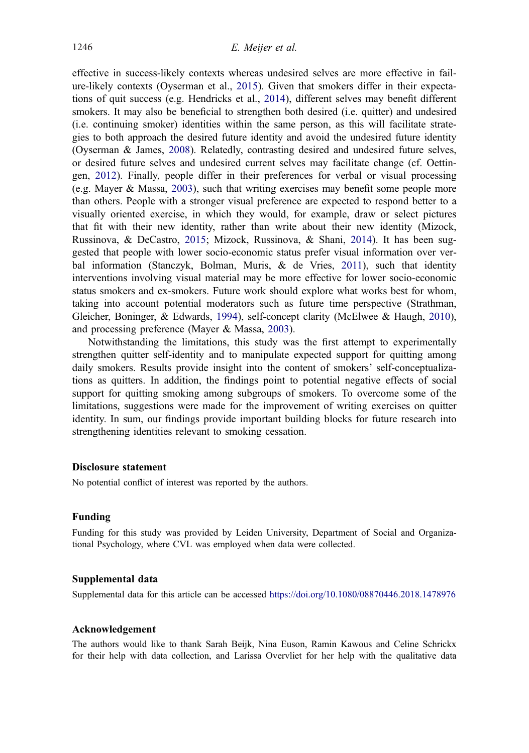<span id="page-18-0"></span>effective in success-likely contexts whereas undesired selves are more effective in failure-likely contexts (Oyserman et al., [2015\)](#page-21-0). Given that smokers differ in their expectations of quit success (e.g. Hendricks et al., [2014](#page-19-0)), different selves may benefit different smokers. It may also be beneficial to strengthen both desired (i.e. quitter) and undesired (i.e. continuing smoker) identities within the same person, as this will facilitate strategies to both approach the desired future identity and avoid the undesired future identity (Oyserman & James, [2008](#page-21-0)). Relatedly, contrasting desired and undesired future selves, or desired future selves and undesired current selves may facilitate change (cf. Oettingen, [2012\)](#page-21-0). Finally, people differ in their preferences for verbal or visual processing (e.g. Mayer & Massa, [2003\)](#page-20-0), such that writing exercises may benefit some people more than others. People with a stronger visual preference are expected to respond better to a visually oriented exercise, in which they would, for example, draw or select pictures that fit with their new identity, rather than write about their new identity (Mizock, Russinova, & DeCastro, [2015](#page-20-0); Mizock, Russinova, & Shani, [2014](#page-20-0)). It has been suggested that people with lower socio-economic status prefer visual information over verbal information (Stanczyk, Bolman, Muris, & de Vries, [2011](#page-21-0)), such that identity interventions involving visual material may be more effective for lower socio-economic status smokers and ex-smokers. Future work should explore what works best for whom, taking into account potential moderators such as future time perspective (Strathman, Gleicher, Boninger, & Edwards, [1994\)](#page-21-0), self-concept clarity (McElwee & Haugh, [2010](#page-20-0)), and processing preference (Mayer & Massa, [2003\)](#page-20-0).

Notwithstanding the limitations, this study was the first attempt to experimentally strengthen quitter self-identity and to manipulate expected support for quitting among daily smokers. Results provide insight into the content of smokers' self-conceptualizations as quitters. In addition, the findings point to potential negative effects of social support for quitting smoking among subgroups of smokers. To overcome some of the limitations, suggestions were made for the improvement of writing exercises on quitter identity. In sum, our findings provide important building blocks for future research into strengthening identities relevant to smoking cessation.

## Disclosure statement

No potential conflict of interest was reported by the authors.

#### Funding

Funding for this study was provided by Leiden University, Department of Social and Organizational Psychology, where CVL was employed when data were collected.

#### Supplemental data

Supplemental data for this article can be accessed <https://doi.org/10.1080/08870446.2018.1478976>

#### Acknowledgement

The authors would like to thank Sarah Beijk, Nina Euson, Ramin Kawous and Celine Schrickx for their help with data collection, and Larissa Overvliet for her help with the qualitative data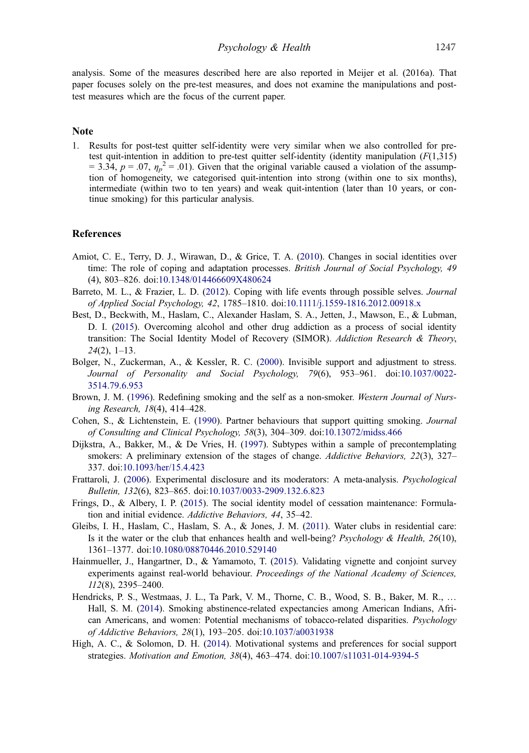<span id="page-19-0"></span>analysis. Some of the measures described here are also reported in Meijer et al. (2016a). That paper focuses solely on the pre-test measures, and does not examine the manipulations and posttest measures which are the focus of the current paper.

## **Note**

1. Results for post-test quitter self-identity were very similar when we also controlled for pretest quit-intention in addition to pre-test quitter self-identity (identity manipulation  $(F(1,315))$  $= 3.34, p = .07, \eta_p^2 = .01$ ). Given that the original variable caused a violation of the assumption of homogeneity, we categorised quit-intention into strong (within one to six months), intermediate (within two to ten years) and weak quit-intention (later than 10 years, or continue smoking) for this particular analysis.

## References

- Amiot, C. E., Terry, D. J., Wirawan, D., & Grice, T. A. ([2010\)](#page-2-0). Changes in social identities over time: The role of coping and adaptation processes. British Journal of Social Psychology, 49 (4), 803–826. doi:[10.1348/014466609X480624](https://doi.org/10.1348/014466609X480624)
- Barreto, M. L., & Frazier, L. D. ([2012\)](#page-2-0). Coping with life events through possible selves. Journal of Applied Social Psychology, 42, 1785–1810. doi[:10.1111/j.1559-1816.2012.00918.x](https://doi.org/10.1111/j.1559-1816.2012.00918.x)
- Best, D., Beckwith, M., Haslam, C., Alexander Haslam, S. A., Jetten, J., Mawson, E., & Lubman, D. I. [\(2015](#page-2-0)). Overcoming alcohol and other drug addiction as a process of social identity transition: The Social Identity Model of Recovery (SIMOR). Addiction Research & Theory,  $24(2)$ , 1–13.
- Bolger, N., Zuckerman, A., & Kessler, R. C. [\(2000](#page-16-0)). Invisible support and adjustment to stress. Journal of Personality and Social Psychology, 79(6), 953–961. doi:[10.1037/0022-](https://doi.org/10.1037/0022-3514.79.6.953) [3514.79.6.953](https://doi.org/10.1037/0022-3514.79.6.953)
- Brown, J. M. ([1996\)](#page-2-0). Redefining smoking and the self as a non-smoker. Western Journal of Nursing Research, 18(4), 414–428.
- Cohen, S., & Lichtenstein, E. [\(1990](#page-5-0)). Partner behaviours that support quitting smoking. Journal of Consulting and Clinical Psychology, 58(3), 304–309. doi:[10.13072/midss.466](https://doi.org/10.13072/midss.466)
- Dijkstra, A., Bakker, M., & De Vries, H. [\(1997](#page-6-0)). Subtypes within a sample of precontemplating smokers: A preliminary extension of the stages of change. Addictive Behaviors, 22(3), 327– 337. doi:[10.1093/her/15.4.423](https://doi.org/10.1093/her/15.4.423)
- Frattaroli, J. [\(2006](#page-17-0)). Experimental disclosure and its moderators: A meta-analysis. Psychological Bulletin, 132(6), 823–865. doi:[10.1037/0033-2909.132.6.823](https://doi.org/10.1037/0033-2909.132.6.823)
- Frings, D., & Albery, I. P. [\(2015](#page-2-0)). The social identity model of cessation maintenance: Formulation and initial evidence. Addictive Behaviors, 44, 35–42.
- Gleibs, I. H., Haslam, C., Haslam, S. A., & Jones, J. M. [\(2011\)](#page-2-0). Water clubs in residential care: Is it the water or the club that enhances health and well-being? Psychology & Health, 26(10), 1361–1377. doi[:10.1080/08870446.2010.529140](https://doi.org/10.1080/08870446.2010.529140)
- Hainmueller, J., Hangartner, D., & Yamamoto, T. [\(2015](#page-17-0)). Validating vignette and conjoint survey experiments against real-world behaviour. Proceedings of the National Academy of Sciences, 112(8), 2395–2400.
- Hendricks, P. S., Westmaas, J. L., Ta Park, V. M., Thorne, C. B., Wood, S. B., Baker, M. R., … Hall, S. M. ([2014\)](#page-18-0). Smoking abstinence-related expectancies among American Indians, African Americans, and women: Potential mechanisms of tobacco-related disparities. Psychology of Addictive Behaviors, 28(1), 193–205. doi:[10.1037/a0031938](https://doi.org/10.1037/a0031938)
- High, A. C., & Solomon, D. H. ([2014\)](#page-3-0). Motivational systems and preferences for social support strategies. Motivation and Emotion, 38(4), 463–474. doi[:10.1007/s11031-014-9394-5](https://doi.org/10.1007/s11031-014-9394-5)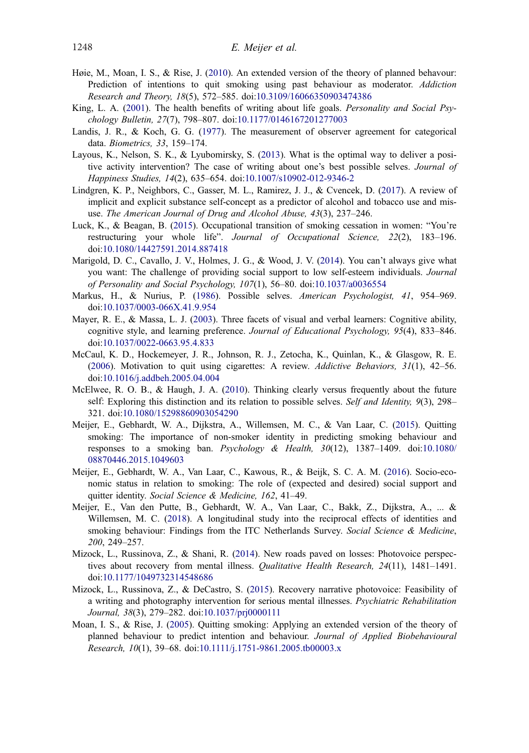- <span id="page-20-0"></span>Høie, M., Moan, I. S., & Rise, J. ([2010](#page-2-0)). An extended version of the theory of planned behavour: Prediction of intentions to quit smoking using past behaviour as moderator. Addiction Research and Theory, 18(5), 572–585. doi[:10.3109/16066350903474386](https://doi.org/10.3109/16066350903474386)
- King, L. A. ([2001\)](#page-3-0). The health benefits of writing about life goals. *Personality and Social Psy*chology Bulletin, 27(7), 798–807. doi[:10.1177/0146167201277003](https://doi.org/10.1177/0146167201277003)
- Landis, J. R., & Koch, G. G. [\(1977](#page-8-0)). The measurement of observer agreement for categorical data. Biometrics, 33, 159–174.
- Layous, K., Nelson, S. K., & Lyubomirsky, S. ([2013\)](#page-3-0). What is the optimal way to deliver a positive activity intervention? The case of writing about one's best possible selves. Journal of Happiness Studies, 14(2), 635–654. doi[:10.1007/s10902-012-9346-2](https://doi.org/10.1007/s10902-012-9346-2)
- Lindgren, K. P., Neighbors, C., Gasser, M. L., Ramirez, J. J., & Cvencek, D. ([2017\)](#page-17-0). A review of implicit and explicit substance self-concept as a predictor of alcohol and tobacco use and misuse. The American Journal of Drug and Alcohol Abuse, 43(3), 237–246.
- Luck, K., & Beagan, B. ([2015\)](#page-2-0). Occupational transition of smoking cessation in women: "You're restructuring your whole life". Journal of Occupational Science, 22(2), 183-196. doi:[10.1080/14427591.2014.887418](https://doi.org/10.1080/14427591.2014.887418)
- Marigold, D. C., Cavallo, J. V., Holmes, J. G., & Wood, J. V. ([2014\)](#page-3-0). You can't always give what you want: The challenge of providing social support to low self-esteem individuals. Journal of Personality and Social Psychology, 107(1), 56–80. doi:[10.1037/a0036554](https://doi.org/10.1037/a0036554)
- Markus, H., & Nurius, P. ([1986\)](#page-2-0). Possible selves. American Psychologist, 41, 954–969. doi:[10.1037/0003-066X.41.9.954](https://doi.org/10.1037/0003-066X.41.9.954)
- Mayer, R. E., & Massa, L. J. [\(2003](#page-18-0)). Three facets of visual and verbal learners: Cognitive ability, cognitive style, and learning preference. Journal of Educational Psychology, 95(4), 833–846. doi:[10.1037/0022-0663.95.4.833](https://doi.org/10.1037/0022-0663.95.4.833)
- McCaul, K. D., Hockemeyer, J. R., Johnson, R. J., Zetocha, K., Quinlan, K., & Glasgow, R. E.  $(2006)$  $(2006)$ . Motivation to quit using cigarettes: A review. Addictive Behaviors,  $31(1)$ ,  $42-56$ . doi:[10.1016/j.addbeh.2005.04.004](https://doi.org/10.1016/j.addbeh.2005.04.004)
- McElwee, R. O. B., & Haugh, J. A. [\(2010\)](#page-18-0). Thinking clearly versus frequently about the future self: Exploring this distinction and its relation to possible selves. Self and Identity, 9(3), 298– 321. doi:[10.1080/15298860903054290](https://doi.org/10.1080/15298860903054290)
- Meijer, E., Gebhardt, W. A., Dijkstra, A., Willemsen, M. C., & Van Laar, C. [\(2015](#page-2-0)). Quitting smoking: The importance of non-smoker identity in predicting smoking behaviour and responses to a smoking ban. Psychology & Health,  $30(12)$ ,  $1387-1409$ . doi[:10.1080/](https://doi.org/10.1080/08870446.2015.1049603) [08870446.2015.1049603](https://doi.org/10.1080/08870446.2015.1049603)
- Meijer, E., Gebhardt, W. A., Van Laar, C., Kawous, R., & Beijk, S. C. A. M. [\(2016](#page-2-0)). Socio-economic status in relation to smoking: The role of (expected and desired) social support and quitter identity. Social Science & Medicine, 162, 41-49.
- Meijer, E., Van den Putte, B., Gebhardt, W. A., Van Laar, C., Bakk, Z., Dijkstra, A., ... & Willemsen, M. C. [\(2018](#page-2-0)). A longitudinal study into the reciprocal effects of identities and smoking behaviour: Findings from the ITC Netherlands Survey. Social Science & Medicine, 200, 249–257.
- Mizock, L., Russinova, Z., & Shani, R. ([2014\)](#page-18-0). New roads paved on losses: Photovoice perspectives about recovery from mental illness. Qualitative Health Research, 24(11), 1481-1491. doi:[10.1177/1049732314548686](https://doi.org/10.1177/1049732314548686)
- Mizock, L., Russinova, Z., & DeCastro, S. [\(2015](#page-18-0)). Recovery narrative photovoice: Feasibility of a writing and photography intervention for serious mental illnesses. Psychiatric Rehabilitation Journal, 38(3), 279–282. doi:[10.1037/prj0000111](https://doi.org/10.1037/prj0000111)
- Moan, I. S., & Rise, J. (2005). Quitting smoking: Applying an extended version of the theory of planned behaviour to predict intention and behaviour. Journal of Applied Biobehavioural Research, 10(1), 39–68. doi:[10.1111/j.1751-9861.2005.tb00003.x](https://doi.org/10.1111/j.1751-9861.2005.tb00003.x)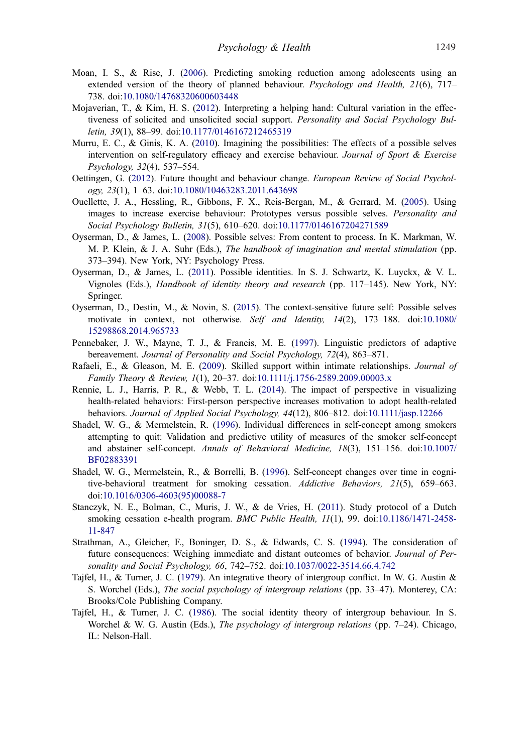- <span id="page-21-0"></span>Moan, I. S., & Rise, J. (2006). Predicting smoking reduction among adolescents using an extended version of the theory of planned behaviour. Psychology and Health, 21(6), 717– 738. doi:[10.1080/14768320600603448](https://doi.org/10.1080/14768320600603448)
- Mojaverian, T., & Kim, H. S. ([2012\)](#page-3-0). Interpreting a helping hand: Cultural variation in the effectiveness of solicited and unsolicited social support. Personality and Social Psychology Bulletin, 39(1), 88–99. doi:[10.1177/0146167212465319](https://doi.org/10.1177/0146167212465319)
- Murru, E. C., & Ginis, K. A. ([2010\)](#page-3-0). Imagining the possibilities: The effects of a possible selves intervention on self-regulatory efficacy and exercise behaviour. Journal of Sport & Exercise Psychology, 32(4), 537–554.
- Oettingen, G. ([2012\)](#page-18-0). Future thought and behaviour change. European Review of Social Psychology, 23(1), 1–63. doi[:10.1080/10463283.2011.643698](https://doi.org/10.1080/10463283.2011.643698)
- Ouellette, J. A., Hessling, R., Gibbons, F. X., Reis-Bergan, M., & Gerrard, M. [\(2005](#page-3-0)). Using images to increase exercise behaviour: Prototypes versus possible selves. Personality and Social Psychology Bulletin, 31(5), 610–620. doi[:10.1177/0146167204271589](https://doi.org/10.1177/0146167204271589)
- Oyserman, D., & James, L. [\(2008\)](#page-18-0). Possible selves: From content to process. In K. Markman, W. M. P. Klein, & J. A. Suhr (Eds.), *The handbook of imagination and mental stimulation* (pp. 373–394). New York, NY: Psychology Press.
- Oyserman, D., & James, L. ([2011](#page-2-0)). Possible identities. In S. J. Schwartz, K. Luyckx, & V. L. Vignoles (Eds.), Handbook of identity theory and research (pp. 117–145). New York, NY: Springer.
- Oyserman, D., Destin, M., & Novin, S. ([2015\)](#page-3-0). The context-sensitive future self: Possible selves motivate in context, not otherwise. Self and Identity, 14(2), 173-188. doi[:10.1080/](https://doi.org/10.1080/15298868.2014.965733) [15298868.2014.965733](https://doi.org/10.1080/15298868.2014.965733)
- Pennebaker, J. W., Mayne, T. J., & Francis, M. E. ([1997\)](#page-3-0). Linguistic predictors of adaptive bereavement. Journal of Personality and Social Psychology, 72(4), 863–871.
- Rafaeli, E., & Gleason, M. E. ([2009](#page-3-0)). Skilled support within intimate relationships. Journal of Family Theory & Review, 1(1), 20–37. doi:[10.1111/j.1756-2589.2009.00003.x](https://doi.org/10.1111/j.1756-2589.2009.00003.x)
- Rennie, L. J., Harris, P. R., & Webb, T. L. [\(2014](#page-3-0)). The impact of perspective in visualizing health-related behaviors: First-person perspective increases motivation to adopt health-related behaviors. Journal of Applied Social Psychology, 44(12), 806–812. doi[:10.1111/jasp.12266](https://doi.org/10.1111/jasp.12266)
- Shadel, W. G., & Mermelstein, R. [\(1996](#page-6-0)). Individual differences in self-concept among smokers attempting to quit: Validation and predictive utility of measures of the smoker self-concept and abstainer self-concept. Annals of Behavioral Medicine, 18(3), 151–156. doi[:10.1007/](https://doi.org/10.1007/BF02883391) [BF02883391](https://doi.org/10.1007/BF02883391)
- Shadel, W. G., Mermelstein, R., & Borrelli, B. ([1996](#page-2-0)). Self-concept changes over time in cognitive-behavioral treatment for smoking cessation. Addictive Behaviors, 21(5), 659–663. doi:[10.1016/0306-4603\(95\)00088-7](https://doi.org/10.1016/0306-4603(95)00088-7)
- Stanczyk, N. E., Bolman, C., Muris, J. W., & de Vries, H. [\(2011](#page-18-0)). Study protocol of a Dutch smoking cessation e-health program. *BMC Public Health*,  $11(1)$ , 99. doi[:10.1186/1471-2458-](https://doi.org/10.1186/1471-2458-11-847) [11-847](https://doi.org/10.1186/1471-2458-11-847)
- Strathman, A., Gleicher, F., Boninger, D. S., & Edwards, C. S. [\(1994](#page-18-0)). The consideration of future consequences: Weighing immediate and distant outcomes of behavior. Journal of Personality and Social Psychology, 66, 742–752. doi[:10.1037/0022-3514.66.4.742](https://doi.org/10.1037/0022-3514.66.4.742)
- Tajfel, H., & Turner, J. C. (1979). An integrative theory of intergroup conflict. In W. G. Austin & S. Worchel (Eds.), The social psychology of intergroup relations (pp. 33–47). Monterey, CA: Brooks/Cole Publishing Company.
- Tajfel, H., & Turner, J. C. (1986). The social identity theory of intergroup behaviour. In S. Worchel & W. G. Austin (Eds.), The psychology of intergroup relations (pp. 7–24). Chicago, IL: Nelson-Hall.